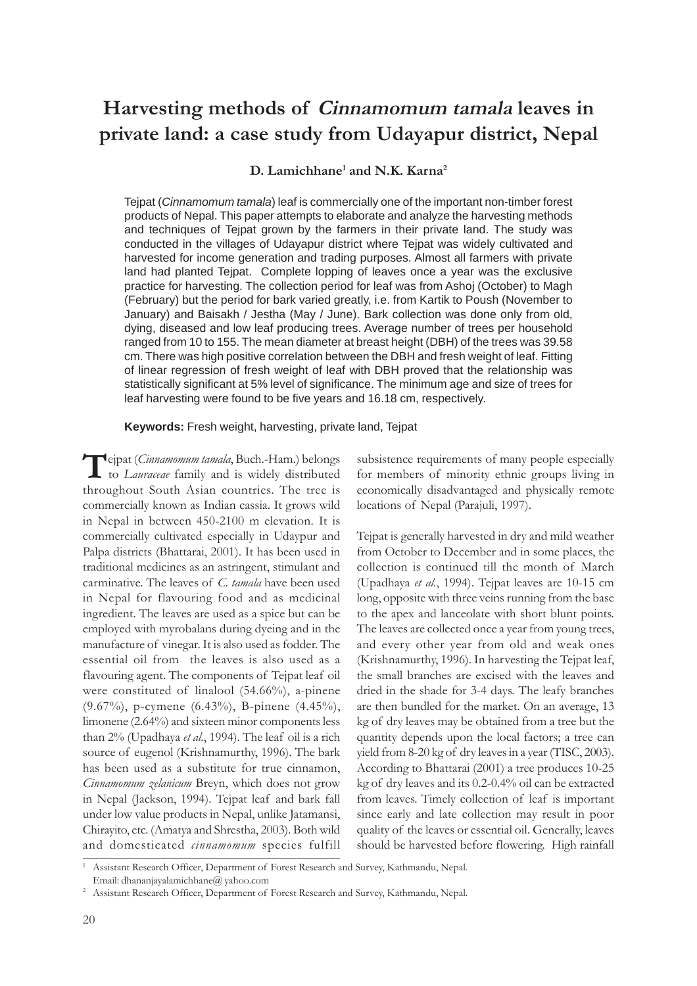# **Harvesting methods of Cinnamomum tamala leaves in private land: a case study from Udayapur district, Nepal**

**D. Lamichhane1 and N.K. Karna2**

Tejpat (*Cinnamomum tamala*) leaf is commercially one of the important non-timber forest products of Nepal. This paper attempts to elaborate and analyze the harvesting methods and techniques of Tejpat grown by the farmers in their private land. The study was conducted in the villages of Udayapur district where Tejpat was widely cultivated and harvested for income generation and trading purposes. Almost all farmers with private land had planted Tejpat. Complete lopping of leaves once a year was the exclusive practice for harvesting. The collection period for leaf was from Ashoj (October) to Magh (February) but the period for bark varied greatly, i.e. from Kartik to Poush (November to January) and Baisakh / Jestha (May / June). Bark collection was done only from old, dying, diseased and low leaf producing trees. Average number of trees per household ranged from 10 to 155. The mean diameter at breast height (DBH) of the trees was 39.58 cm. There was high positive correlation between the DBH and fresh weight of leaf. Fitting of linear regression of fresh weight of leaf with DBH proved that the relationship was statistically significant at 5% level of significance. The minimum age and size of trees for leaf harvesting were found to be five years and 16.18 cm, respectively.

**Keywords:** Fresh weight, harvesting, private land, Tejpat

Tejpat (*Cinnamomum tamala*, Buch.-Ham.) belongs<br>to *Lauraceae* family and is widely distributed throughout South Asian countries. The tree is commercially known as Indian cassia. It grows wild in Nepal in between 450-2100 m elevation. It is commercially cultivated especially in Udaypur and Palpa districts (Bhattarai, 2001). It has been used in traditional medicines as an astringent, stimulant and carminative. The leaves of *C. tamala* have been used in Nepal for flavouring food and as medicinal ingredient. The leaves are used as a spice but can be employed with myrobalans during dyeing and in the manufacture of vinegar. It is also used as fodder. The essential oil from the leaves is also used as a flavouring agent. The components of Tejpat leaf oil were constituted of linalool (54.66%), a-pinene (9.67%), p-cymene (6.43%), B-pinene (4.45%), limonene (2.64%) and sixteen minor components less than 2% (Upadhaya *et al.*, 1994). The leaf oil is a rich source of eugenol (Krishnamurthy, 1996). The bark has been used as a substitute for true cinnamon, *Cinnamomum zelanicum* Breyn, which does not grow in Nepal (Jackson, 1994). Tejpat leaf and bark fall under low value products in Nepal, unlike Jatamansi, Chirayito, etc. (Amatya and Shrestha, 2003). Both wild and domesticated *cinnamomum* species fulfill

subsistence requirements of many people especially for members of minority ethnic groups living in economically disadvantaged and physically remote locations of Nepal (Parajuli, 1997).

Tejpat is generally harvested in dry and mild weather from October to December and in some places, the collection is continued till the month of March (Upadhaya *et al.*, 1994). Tejpat leaves are 10-15 cm long, opposite with three veins running from the base to the apex and lanceolate with short blunt points. The leaves are collected once a year from young trees, and every other year from old and weak ones (Krishnamurthy, 1996). In harvesting the Tejpat leaf, the small branches are excised with the leaves and dried in the shade for 3-4 days. The leafy branches are then bundled for the market. On an average, 13 kg of dry leaves may be obtained from a tree but the quantity depends upon the local factors; a tree can yield from 8-20 kg of dry leaves in a year (TISC, 2003). According to Bhattarai (2001) a tree produces 10-25 kg of dry leaves and its 0.2-0.4% oil can be extracted from leaves. Timely collection of leaf is important since early and late collection may result in poor quality of the leaves or essential oil. Generally, leaves should be harvested before flowering. High rainfall

<sup>1</sup> Assistant Research Officer, Department of Forest Research and Survey, Kathmandu, Nepal.

Email: dhananjayalamichhane@ yahoo.com

<sup>&</sup>lt;sup>2</sup> Assistant Research Officer, Department of Forest Research and Survey, Kathmandu, Nepal.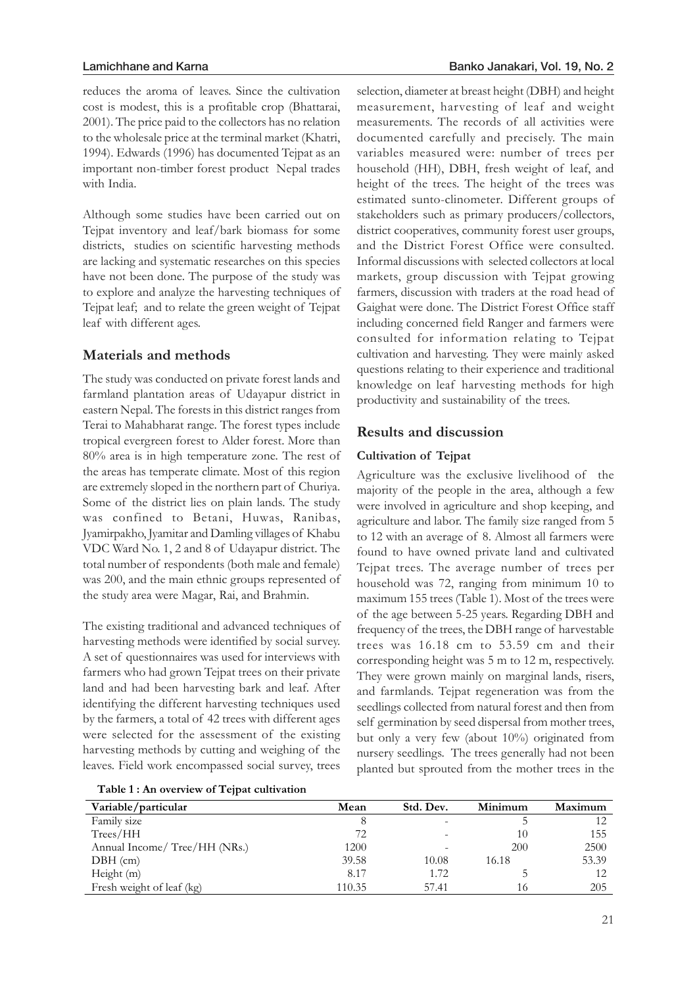reduces the aroma of leaves. Since the cultivation cost is modest, this is a profitable crop (Bhattarai, 2001). The price paid to the collectors has no relation to the wholesale price at the terminal market (Khatri, 1994). Edwards (1996) has documented Tejpat as an important non-timber forest product Nepal trades with India.

Although some studies have been carried out on Tejpat inventory and leaf/bark biomass for some districts, studies on scientific harvesting methods are lacking and systematic researches on this species have not been done. The purpose of the study was to explore and analyze the harvesting techniques of Tejpat leaf; and to relate the green weight of Tejpat leaf with different ages.

## **Materials and methods**

The study was conducted on private forest lands and farmland plantation areas of Udayapur district in eastern Nepal. The forests in this district ranges from Terai to Mahabharat range. The forest types include tropical evergreen forest to Alder forest. More than 80% area is in high temperature zone. The rest of the areas has temperate climate. Most of this region are extremely sloped in the northern part of Churiya. Some of the district lies on plain lands. The study was confined to Betani, Huwas, Ranibas, Jyamirpakho, Jyamitar and Damling villages of Khabu VDC Ward No. 1, 2 and 8 of Udayapur district. The total number of respondents (both male and female) was 200, and the main ethnic groups represented of the study area were Magar, Rai, and Brahmin.

The existing traditional and advanced techniques of harvesting methods were identified by social survey. A set of questionnaires was used for interviews with farmers who had grown Tejpat trees on their private land and had been harvesting bark and leaf. After identifying the different harvesting techniques used by the farmers, a total of 42 trees with different ages were selected for the assessment of the existing harvesting methods by cutting and weighing of the leaves. Field work encompassed social survey, trees

selection, diameter at breast height (DBH) and height measurement, harvesting of leaf and weight measurements. The records of all activities were documented carefully and precisely. The main variables measured were: number of trees per household (HH), DBH, fresh weight of leaf, and height of the trees. The height of the trees was estimated sunto-clinometer. Different groups of stakeholders such as primary producers/collectors, district cooperatives, community forest user groups, and the District Forest Office were consulted. Informal discussions with selected collectors at local markets, group discussion with Tejpat growing farmers, discussion with traders at the road head of Gaighat were done. The District Forest Office staff including concerned field Ranger and farmers were consulted for information relating to Tejpat cultivation and harvesting. They were mainly asked questions relating to their experience and traditional knowledge on leaf harvesting methods for high productivity and sustainability of the trees.

# **Results and discussion**

## **Cultivation of Tejpat**

Agriculture was the exclusive livelihood of the majority of the people in the area, although a few were involved in agriculture and shop keeping, and agriculture and labor. The family size ranged from 5 to 12 with an average of 8. Almost all farmers were found to have owned private land and cultivated Tejpat trees. The average number of trees per household was 72, ranging from minimum 10 to maximum 155 trees (Table 1). Most of the trees were of the age between 5-25 years. Regarding DBH and frequency of the trees, the DBH range of harvestable trees was 16.18 cm to 53.59 cm and their corresponding height was 5 m to 12 m, respectively. They were grown mainly on marginal lands, risers, and farmlands. Tejpat regeneration was from the seedlings collected from natural forest and then from self germination by seed dispersal from mother trees, but only a very few (about 10%) originated from nursery seedlings. The trees generally had not been planted but sprouted from the mother trees in the

**Table 1 : An overview of Tejpat cultivation** 

| Variable/particular           | Mean   | Std. Dev. | Minimum | Maximum |
|-------------------------------|--------|-----------|---------|---------|
| Family size                   |        |           |         |         |
| Trees/HH                      | 72     |           | 10      | 155     |
| Annual Income/ Tree/HH (NRs.) | 1200   | -         | 200     | 2500    |
| $DBH$ (cm)                    | 39.58  | 10.08     | 16.18   | 53.39   |
| Height (m)                    | 8.17   | 1.72      |         | 12      |
| Fresh weight of leaf (kg)     | 110.35 | 57.41     | 16      | 205     |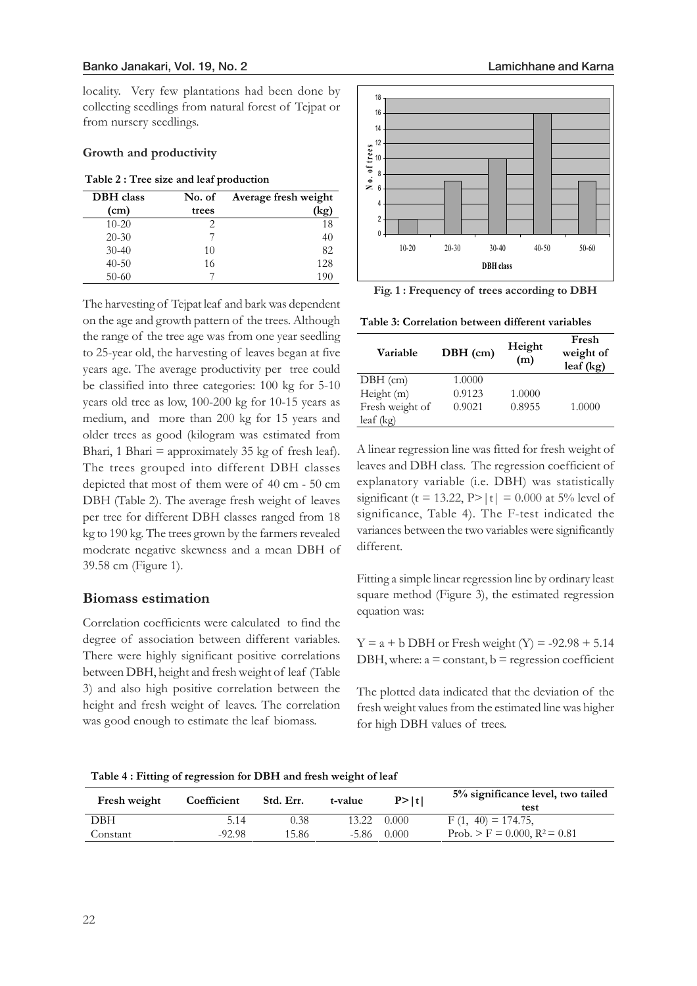locality. Very few plantations had been done by collecting seedlings from natural forest of Tejpat or from nursery seedlings.

#### **Growth and productivity**

|  |  |  |  |  | Table 2 : Tree size and leaf production |
|--|--|--|--|--|-----------------------------------------|
|--|--|--|--|--|-----------------------------------------|

| <b>DBH</b> class | No. of | Average fresh weight |
|------------------|--------|----------------------|
| (cm)             | trees  | ko`                  |
| $10 - 20$        |        | 18                   |
| $20 - 30$        |        | 40                   |
| $30 - 40$        | 10     | 82                   |
| $40 - 50$        | 16     | 128                  |
| $50-60$          |        | 190                  |

The harvesting of Tejpat leaf and bark was dependent on the age and growth pattern of the trees. Although the range of the tree age was from one year seedling to 25-year old, the harvesting of leaves began at five years age. The average productivity per tree could be classified into three categories: 100 kg for 5-10 years old tree as low, 100-200 kg for 10-15 years as medium, and more than 200 kg for 15 years and older trees as good (kilogram was estimated from Bhari, 1 Bhari  $=$  approximately 35 kg of fresh leaf). The trees grouped into different DBH classes depicted that most of them were of 40 cm - 50 cm DBH (Table 2). The average fresh weight of leaves per tree for different DBH classes ranged from 18 kg to 190 kg. The trees grown by the farmers revealed moderate negative skewness and a mean DBH of 39.58 cm (Figure 1).

## **Biomass estimation**

Correlation coefficients were calculated to find the degree of association between different variables. There were highly significant positive correlations between DBH, height and fresh weight of leaf (Table 3) and also high positive correlation between the height and fresh weight of leaves. The correlation was good enough to estimate the leaf biomass.





**Fig. 1 : Frequency of trees according to DBH**

**Table 3: Correlation between different variables** 

| Variable        | $DBH$ (cm) | Height<br>(m) | Fresh<br>weight of<br>$leaf$ (kg) |
|-----------------|------------|---------------|-----------------------------------|
| $DBH$ (cm)      | 1.0000     |               |                                   |
| Height (m)      | 0.9123     | 1.0000        |                                   |
| Fresh weight of | 0.9021     | 0.8955        | 1.0000                            |
| $leaf$ (kg)     |            |               |                                   |

A linear regression line was fitted for fresh weight of leaves and DBH class. The regression coefficient of explanatory variable (i.e. DBH) was statistically significant (t = 13.22, P>|t| = 0.000 at 5% level of significance, Table 4). The F-test indicated the variances between the two variables were significantly different.

Fitting a simple linear regression line by ordinary least square method (Figure 3), the estimated regression equation was:

 $Y = a + b$  DBH or Fresh weight  $(Y) = -92.98 + 5.14$ DBH, where:  $a = constant$ ,  $b = regression coefficient$ 

The plotted data indicated that the deviation of the fresh weight values from the estimated line was higher for high DBH values of trees.

**Table 4 : Fitting of regression for DBH and fresh weight of leaf** 

| Fresh weight | Coefficient | Std. Err. | t-value | P >  t | 5% significance level, two tailed<br>test  |
|--------------|-------------|-----------|---------|--------|--------------------------------------------|
| DBH          | 5.14        | 0.38      | 13.22   | 0.000  | $F(1, 40) = 174.75$ ,                      |
| Constant     | $-92.98$    | 15.86     | -5.86   | 0.000  | Prob. $>$ F = 0.000, R <sup>2</sup> = 0.81 |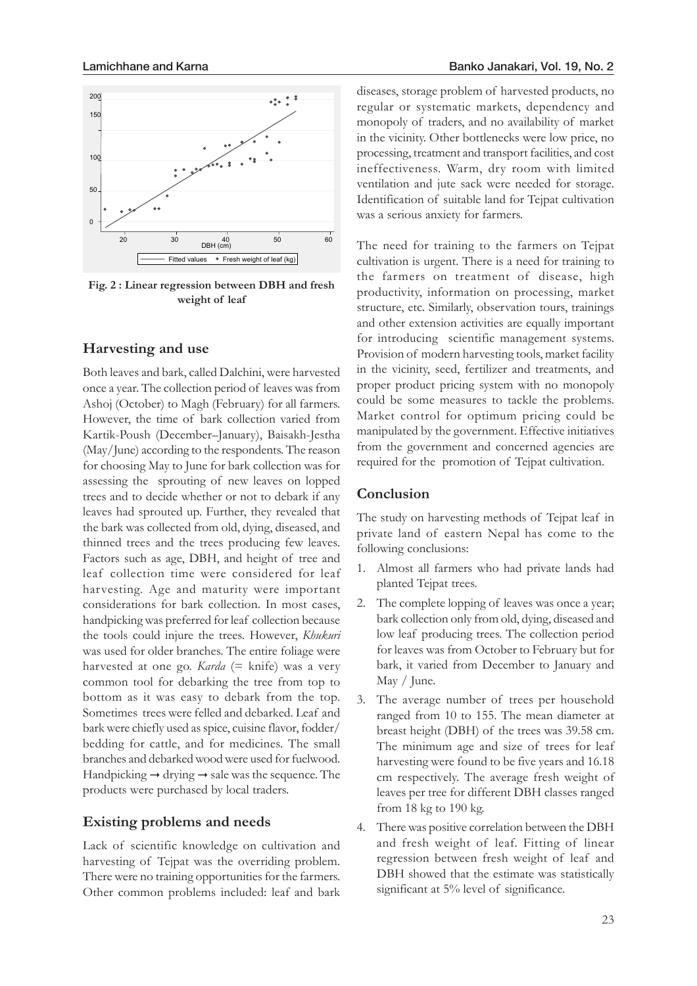

**Fig. 2 : Linear regression between DBH and fresh weight of leaf**

#### **Harvesting and use**

Both leaves and bark, called Dalchini, were harvested once a year. The collection period of leaves was from Ashoj (October) to Magh (February) for all farmers. However, the time of bark collection varied from Kartik-Poush (December–January), Baisakh-Jestha (May/June) according to the respondents. The reason for choosing May to June for bark collection was for assessing the sprouting of new leaves on lopped trees and to decide whether or not to debark if any leaves had sprouted up. Further, they revealed that the bark was collected from old, dying, diseased, and thinned trees and the trees producing few leaves. Factors such as age, DBH, and height of tree and leaf collection time were considered for leaf harvesting. Age and maturity were important considerations for bark collection. In most cases, handpicking was preferred for leaf collection because the tools could injure the trees. However, *Khukuri* was used for older branches. The entire foliage were harvested at one go. *Karda* (= knife) was a very common tool for debarking the tree from top to bottom as it was easy to debark from the top. Sometimes trees were felled and debarked. Leaf and bark were chiefly used as spice, cuisine flavor, fodder/ bedding for cattle, and for medicines. The small branches and debarked wood were used for fuelwood. Handpicking  $\rightarrow$  drying  $\rightarrow$  sale was the sequence. The products were purchased by local traders.

#### **Existing problems and needs**

Lack of scientific knowledge on cultivation and harvesting of Tejpat was the overriding problem. There were no training opportunities for the farmers. Other common problems included: leaf and bark

diseases, storage problem of harvested products, no regular or systematic markets, dependency and monopoly of traders, and no availability of market in the vicinity. Other bottlenecks were low price, no processing, treatment and transport facilities, and cost ineffectiveness. Warm, dry room with limited ventilation and jute sack were needed for storage. Identification of suitable land for Tejpat cultivation was a serious anxiety for farmers.

The need for training to the farmers on Tejpat cultivation is urgent. There is a need for training to the farmers on treatment of disease, high productivity, information on processing, market structure, etc. Similarly, observation tours, trainings and other extension activities are equally important for introducing scientific management systems. Provision of modern harvesting tools, market facility in the vicinity, seed, fertilizer and treatments, and proper product pricing system with no monopoly could be some measures to tackle the problems. Market control for optimum pricing could be manipulated by the government. Effective initiatives from the government and concerned agencies are required for the promotion of Tejpat cultivation.

### **Conclusion**

The study on harvesting methods of Tejpat leaf in private land of eastern Nepal has come to the following conclusions:

- 1. Almost all farmers who had private lands had planted Tejpat trees.
- 2. The complete lopping of leaves was once a year; bark collection only from old, dying, diseased and low leaf producing trees. The collection period for leaves was from October to February but for bark, it varied from December to January and May / June.
- 3. The average number of trees per household ranged from 10 to 155. The mean diameter at breast height (DBH) of the trees was 39.58 cm. The minimum age and size of trees for leaf harvesting were found to be five years and 16.18 cm respectively. The average fresh weight of leaves per tree for different DBH classes ranged from 18 kg to 190 kg.
- 4. There was positive correlation between the DBH and fresh weight of leaf. Fitting of linear regression between fresh weight of leaf and DBH showed that the estimate was statistically significant at 5% level of significance.